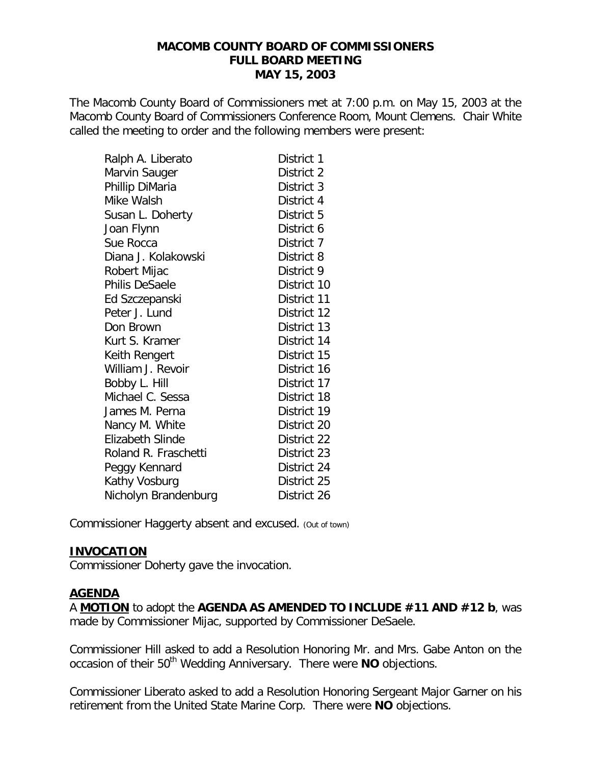#### **MACOMB COUNTY BOARD OF COMMISSIONERS FULL BOARD MEETING MAY 15, 2003**

The Macomb County Board of Commissioners met at 7:00 p.m. on May 15, 2003 at the Macomb County Board of Commissioners Conference Room, Mount Clemens. Chair White called the meeting to order and the following members were present:

| Ralph A. Liberato       | District 1  |
|-------------------------|-------------|
| Marvin Sauger           | District 2  |
| Phillip DiMaria         | District 3  |
| Mike Walsh              | District 4  |
| Susan L. Doherty        | District 5  |
| Joan Flynn              | District 6  |
| Sue Rocca               | District 7  |
| Diana J. Kolakowski     | District 8  |
| Robert Mijac            | District 9  |
| Philis DeSaele          | District 10 |
| Ed Szczepanski          | District 11 |
| Peter J. Lund           | District 12 |
| Don Brown               | District 13 |
| Kurt S. Kramer          | District 14 |
| Keith Rengert           | District 15 |
| William J. Revoir       | District 16 |
| Bobby L. Hill           | District 17 |
| Michael C. Sessa        | District 18 |
| James M. Perna          | District 19 |
| Nancy M. White          | District 20 |
| <b>Elizabeth Slinde</b> | District 22 |
| Roland R. Fraschetti    | District 23 |
| Peggy Kennard           | District 24 |
| Kathy Vosburg           | District 25 |
| Nicholyn Brandenburg    | District 26 |

Commissioner Haggerty absent and excused. *(Out of town)*

## **INVOCATION**

Commissioner Doherty gave the invocation.

### **AGENDA**

A **MOTION** to adopt the **AGENDA AS AMENDED TO INCLUDE #11 AND #12 b**, was made by Commissioner Mijac, supported by Commissioner DeSaele.

Commissioner Hill asked to add a Resolution Honoring Mr. and Mrs. Gabe Anton on the occasion of their 50<sup>th</sup> Wedding Anniversary. There were NO objections.

Commissioner Liberato asked to add a Resolution Honoring Sergeant Major Garner on his retirement from the United State Marine Corp. There were **NO** objections.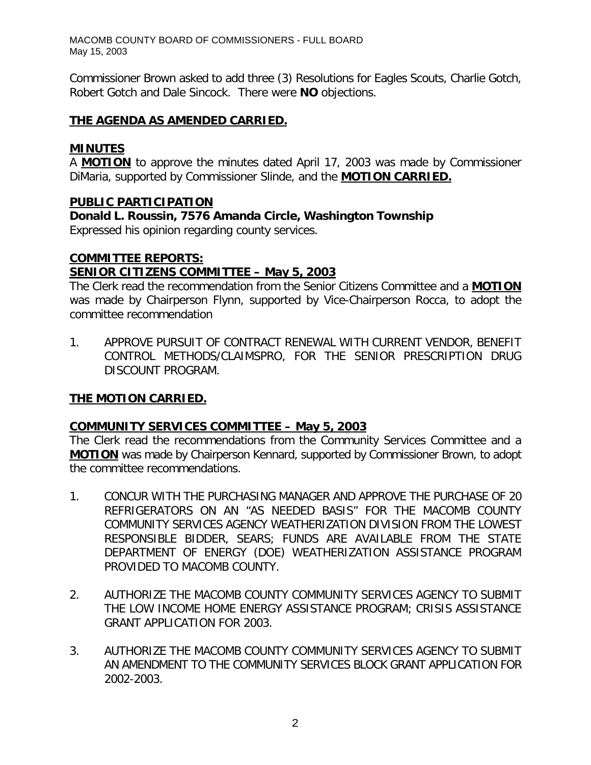Commissioner Brown asked to add three (3) Resolutions for Eagles Scouts, Charlie Gotch, Robert Gotch and Dale Sincock. There were **NO** objections.

### **THE AGENDA AS AMENDED CARRIED.**

### **MINUTES**

A **MOTION** to approve the minutes dated April 17, 2003 was made by Commissioner DiMaria, supported by Commissioner Slinde, and the **MOTION CARRIED.**

### **PUBLIC PARTICIPATION**

*Donald L. Roussin, 7576 Amanda Circle, Washington Township* Expressed his opinion regarding county services.

### **COMMITTEE REPORTS:**

## *SENIOR CITIZENS COMMITTEE – May 5, 2003*

The Clerk read the recommendation from the Senior Citizens Committee and a **MOTION** was made by Chairperson Flynn, supported by Vice-Chairperson Rocca, to adopt the committee recommendation

1. APPROVE PURSUIT OF CONTRACT RENEWAL WITH CURRENT VENDOR, BENEFIT CONTROL METHODS/CLAIMSPRO, FOR THE SENIOR PRESCRIPTION DRUG DISCOUNT PROGRAM.

## **THE MOTION CARRIED.**

### *COMMUNITY SERVICES COMMITTEE – May 5, 2003*

The Clerk read the recommendations from the Community Services Committee and a **MOTION** was made by Chairperson Kennard, supported by Commissioner Brown, to adopt the committee recommendations.

- 1. CONCUR WITH THE PURCHASING MANAGER AND APPROVE THE PURCHASE OF 20 REFRIGERATORS ON AN "AS NEEDED BASIS" FOR THE MACOMB COUNTY COMMUNITY SERVICES AGENCY WEATHERIZATION DIVISION FROM THE LOWEST RESPONSIBLE BIDDER, SEARS; FUNDS ARE AVAILABLE FROM THE STATE DEPARTMENT OF ENERGY (DOE) WEATHERIZATION ASSISTANCE PROGRAM PROVIDED TO MACOMB COUNTY.
- 2. AUTHORIZE THE MACOMB COUNTY COMMUNITY SERVICES AGENCY TO SUBMIT THE LOW INCOME HOME ENERGY ASSISTANCE PROGRAM; CRISIS ASSISTANCE GRANT APPLICATION FOR 2003.
- 3. AUTHORIZE THE MACOMB COUNTY COMMUNITY SERVICES AGENCY TO SUBMIT AN AMENDMENT TO THE COMMUNITY SERVICES BLOCK GRANT APPLICATION FOR 2002-2003.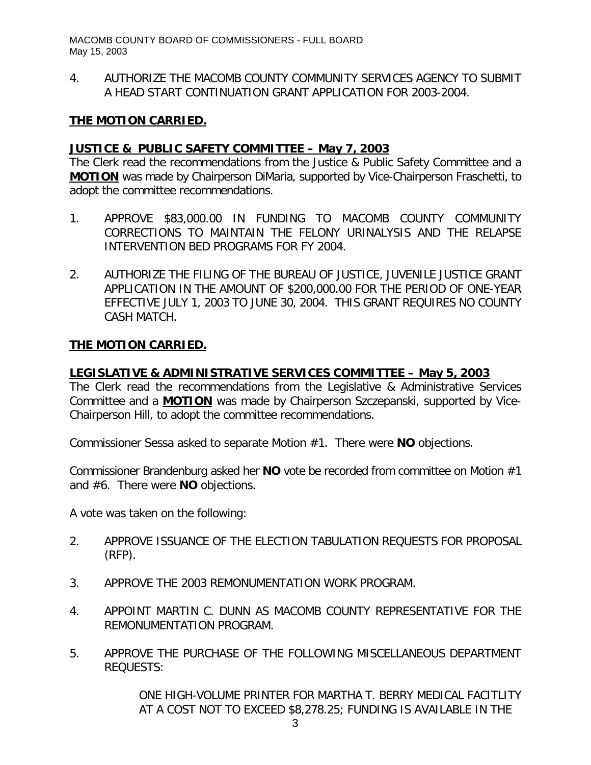4. AUTHORIZE THE MACOMB COUNTY COMMUNITY SERVICES AGENCY TO SUBMIT A HEAD START CONTINUATION GRANT APPLICATION FOR 2003-2004.

### **THE MOTION CARRIED.**

### *JUSTICE & PUBLIC SAFETY COMMITTEE – May 7, 2003*

The Clerk read the recommendations from the Justice & Public Safety Committee and a **MOTION** was made by Chairperson DiMaria, supported by Vice-Chairperson Fraschetti, to adopt the committee recommendations.

- 1. APPROVE \$83,000.00 IN FUNDING TO MACOMB COUNTY COMMUNITY CORRECTIONS TO MAINTAIN THE FELONY URINALYSIS AND THE RELAPSE INTERVENTION BED PROGRAMS FOR FY 2004.
- 2. AUTHORIZE THE FILING OF THE BUREAU OF JUSTICE, JUVENILE JUSTICE GRANT APPLICATION IN THE AMOUNT OF \$200,000.00 FOR THE PERIOD OF ONE-YEAR EFFECTIVE JULY 1, 2003 TO JUNE 30, 2004. THIS GRANT REQUIRES NO COUNTY CASH MATCH.

### **THE MOTION CARRIED.**

### *LEGISLATIVE & ADMINISTRATIVE SERVICES COMMITTEE – May 5, 2003*

The Clerk read the recommendations from the Legislative & Administrative Services Committee and a **MOTION** was made by Chairperson Szczepanski, supported by Vice-Chairperson Hill, to adopt the committee recommendations.

Commissioner Sessa asked to separate Motion #1. There were **NO** objections.

Commissioner Brandenburg asked her **NO** vote be recorded from committee on Motion #1 and #6. There were **NO** objections.

A vote was taken on the following:

- 2. APPROVE ISSUANCE OF THE ELECTION TABULATION REQUESTS FOR PROPOSAL (RFP).
- 3. APPROVE THE 2003 REMONUMENTATION WORK PROGRAM.
- 4. APPOINT MARTIN C. DUNN AS MACOMB COUNTY REPRESENTATIVE FOR THE REMONUMENTATION PROGRAM.
- 5. APPROVE THE PURCHASE OF THE FOLLOWING MISCELLANEOUS DEPARTMENT REQUESTS:

ONE HIGH-VOLUME PRINTER FOR MARTHA T. BERRY MEDICAL FACITLITY AT A COST NOT TO EXCEED \$8,278.25; FUNDING IS AVAILABLE IN THE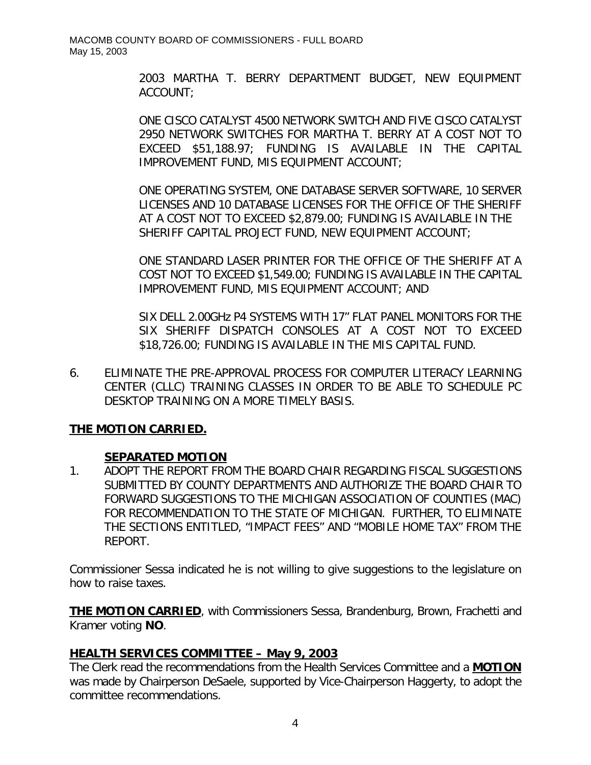2003 MARTHA T. BERRY DEPARTMENT BUDGET, NEW EQUIPMENT ACCOUNT;

ONE CISCO CATALYST 4500 NETWORK SWITCH AND FIVE CISCO CATALYST 2950 NETWORK SWITCHES FOR MARTHA T. BERRY AT A COST NOT TO EXCEED \$51,188.97; FUNDING IS AVAILABLE IN THE CAPITAL IMPROVEMENT FUND, MIS EQUIPMENT ACCOUNT;

ONE OPERATING SYSTEM, ONE DATABASE SERVER SOFTWARE, 10 SERVER LICENSES AND 10 DATABASE LICENSES FOR THE OFFICE OF THE SHERIFF AT A COST NOT TO EXCEED \$2,879.00; FUNDING IS AVAILABLE IN THE SHERIFF CAPITAL PROJECT FUND, NEW EQUIPMENT ACCOUNT;

ONE STANDARD LASER PRINTER FOR THE OFFICE OF THE SHERIFF AT A COST NOT TO EXCEED \$1,549.00; FUNDING IS AVAILABLE IN THE CAPITAL IMPROVEMENT FUND, MIS EQUIPMENT ACCOUNT; AND

SIX DELL 2.00GHz P4 SYSTEMS WITH 17" FLAT PANEL MONITORS FOR THE SIX SHERIFF DISPATCH CONSOLES AT A COST NOT TO EXCEED \$18,726.00; FUNDING IS AVAILABLE IN THE MIS CAPITAL FUND.

6. ELIMINATE THE PRE-APPROVAL PROCESS FOR COMPUTER LITERACY LEARNING CENTER (CLLC) TRAINING CLASSES IN ORDER TO BE ABLE TO SCHEDULE PC DESKTOP TRAINING ON A MORE TIMELY BASIS.

## **THE MOTION CARRIED.**

## **SEPARATED MOTION**

1. ADOPT THE REPORT FROM THE BOARD CHAIR REGARDING FISCAL SUGGESTIONS SUBMITTED BY COUNTY DEPARTMENTS AND AUTHORIZE THE BOARD CHAIR TO FORWARD SUGGESTIONS TO THE MICHIGAN ASSOCIATION OF COUNTIES (MAC) FOR RECOMMENDATION TO THE STATE OF MICHIGAN. FURTHER, TO ELIMINATE THE SECTIONS ENTITLED, "IMPACT FEES" AND "MOBILE HOME TAX" FROM THE REPORT.

Commissioner Sessa indicated he is not willing to give suggestions to the legislature on how to raise taxes.

**THE MOTION CARRIED**, with Commissioners Sessa, Brandenburg, Brown, Frachetti and Kramer voting **NO**.

## *HEALTH SERVICES COMMITTEE – May 9, 2003*

The Clerk read the recommendations from the Health Services Committee and a **MOTION** was made by Chairperson DeSaele, supported by Vice-Chairperson Haggerty, to adopt the committee recommendations.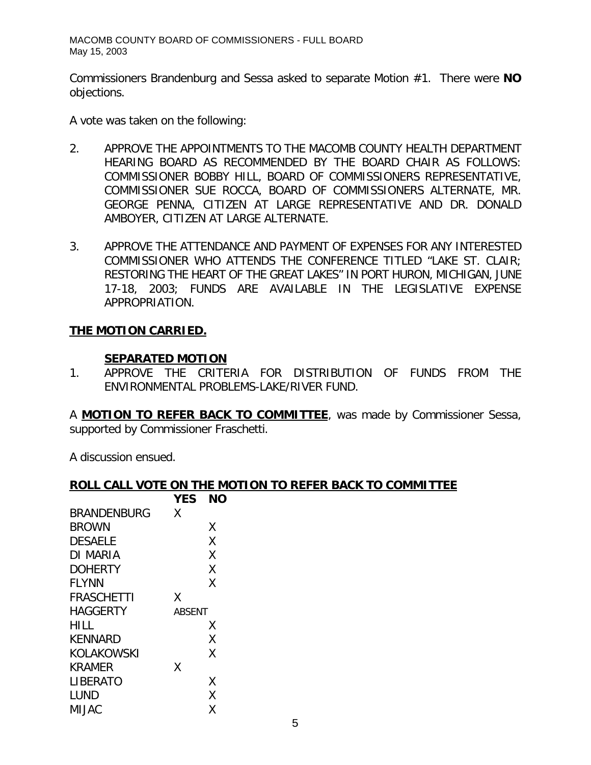Commissioners Brandenburg and Sessa asked to separate Motion #1. There were **NO** objections.

A vote was taken on the following:

- 2. APPROVE THE APPOINTMENTS TO THE MACOMB COUNTY HEALTH DEPARTMENT HEARING BOARD AS RECOMMENDED BY THE BOARD CHAIR AS FOLLOWS: COMMISSIONER BOBBY HILL, BOARD OF COMMISSIONERS REPRESENTATIVE, COMMISSIONER SUE ROCCA, BOARD OF COMMISSIONERS ALTERNATE, MR. GEORGE PENNA, CITIZEN AT LARGE REPRESENTATIVE AND DR. DONALD AMBOYER, CITIZEN AT LARGE ALTERNATE.
- 3. APPROVE THE ATTENDANCE AND PAYMENT OF EXPENSES FOR ANY INTERESTED COMMISSIONER WHO ATTENDS THE CONFERENCE TITLED "LAKE ST. CLAIR; RESTORING THE HEART OF THE GREAT LAKES" IN PORT HURON, MICHIGAN, JUNE 17-18, 2003; FUNDS ARE AVAILABLE IN THE LEGISLATIVE EXPENSE APPROPRIATION.

### **THE MOTION CARRIED.**

#### **SEPARATED MOTION**

1. APPROVE THE CRITERIA FOR DISTRIBUTION OF FUNDS FROM THE ENVIRONMENTAL PROBLEMS-LAKE/RIVER FUND.

A **MOTION TO REFER BACK TO COMMITTEE**, was made by Commissioner Sessa, supported by Commissioner Fraschetti.

A discussion ensued.

#### **ROLL CALL VOTE ON THE MOTION TO REFER BACK TO COMMITTEE**

|                    | <b>YES</b>    | NΟ |
|--------------------|---------------|----|
| <b>BRANDENBURG</b> | Χ             |    |
| <b>BROWN</b>       |               | X  |
| <b>DESAELE</b>     |               | Χ  |
| DI MARIA           |               | Χ  |
| <b>DOHERTY</b>     |               | Χ  |
| <b>FLYNN</b>       |               | Χ  |
| <b>FRASCHETTI</b>  | Χ             |    |
| HAGGERTY           | <i>ABSENT</i> |    |
| HILL               |               | Χ  |
| KENNARD            |               | Χ  |
| KOLAKOWSKI         |               | Χ  |
| <b>KRAMER</b>      | χ             |    |
| LIBERATO           |               | Χ  |
| LUND               |               | Χ  |
| MIJAC              |               | Χ  |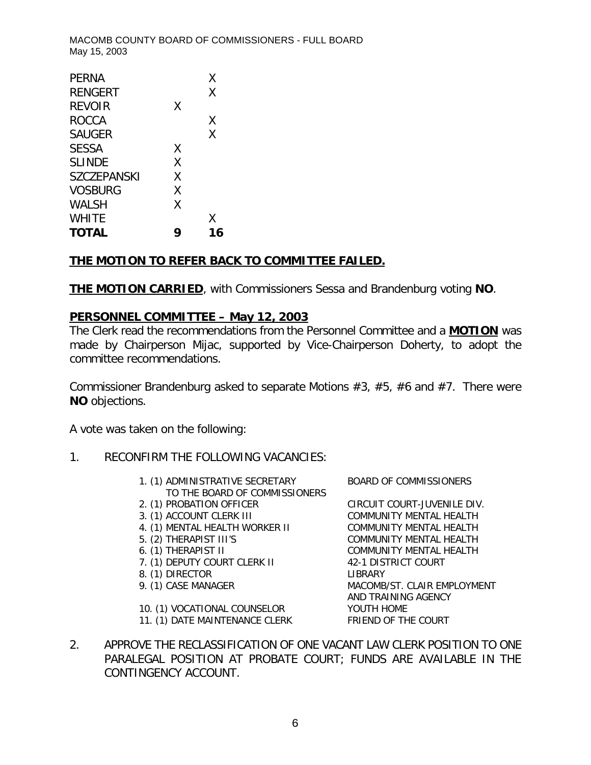|   | Χ  |
|---|----|
|   | Χ  |
| X |    |
|   | Χ  |
|   | Χ  |
| X |    |
| X |    |
| X |    |
| X |    |
| X |    |
|   | Χ  |
|   | 16 |
|   |    |

### **THE MOTION TO REFER BACK TO COMMITTEE FAILED.**

**THE MOTION CARRIED**, with Commissioners Sessa and Brandenburg voting **NO**.

### *PERSONNEL COMMITTEE – May 12, 2003*

The Clerk read the recommendations from the Personnel Committee and a **MOTION** was made by Chairperson Mijac, supported by Vice-Chairperson Doherty, to adopt the committee recommendations.

Commissioner Brandenburg asked to separate Motions #3, #5, #6 and #7. There were **NO** objections.

A vote was taken on the following:

- 1. RECONFIRM THE FOLLOWING VACANCIES:
	- 1. (1) ADMINISTRATIVE SECRETARY BOARD OF COMMISSIONERS TO THE BOARD OF COMMISSIONERS
	-
	-
	- 4. (1) MENTAL HEALTH WORKER II COMMUNITY MENTAL HEALTH
	-
	-
	- 7. (1) DEPUTY COURT CLERK II 42-1 DISTRICT COURT
	- 8. (1) DIRECTOR LIBRARY
	-
	- 10. (1) VOCATIONAL COUNSELOR YOUTH HOME
	- 11. (1) DATE MAINTENANCE CLERK FRIEND OF THE COURT

2. (1) PROBATION OFFICER CIRCUIT COURT-JUVENILE DIV. 3. (1) ACCOUNT CLERK III COMMUNITY MENTAL HEALTH 5. (2) THERAPIST III'S COMMUNITY MENTAL HEALTH 6. (1) THERAPIST II COMMUNITY MENTAL HEALTH 9. (1) CASE MANAGER MACOMB/ST. CLAIR EMPLOYMENT AND TRAINING AGENCY

2. APPROVE THE RECLASSIFICATION OF ONE VACANT LAW CLERK POSITION TO ONE PARALEGAL POSITION AT PROBATE COURT; FUNDS ARE AVAILABLE IN THE CONTINGENCY ACCOUNT.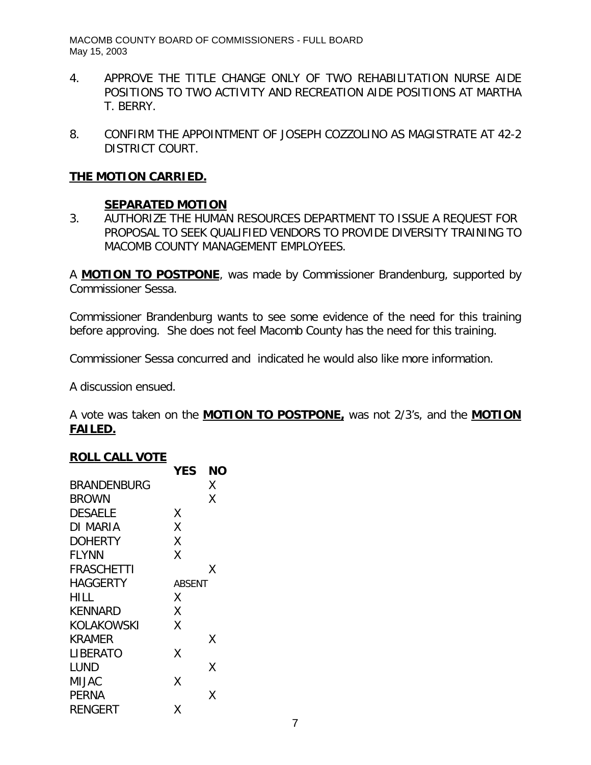- 4. APPROVE THE TITLE CHANGE ONLY OF TWO REHABILITATION NURSE AIDE POSITIONS TO TWO ACTIVITY AND RECREATION AIDE POSITIONS AT MARTHA T. BERRY.
- 8. CONFIRM THE APPOINTMENT OF JOSEPH COZZOLINO AS MAGISTRATE AT 42-2 DISTRICT COURT.

### **THE MOTION CARRIED.**

### **SEPARATED MOTION**

3. AUTHORIZE THE HUMAN RESOURCES DEPARTMENT TO ISSUE A REQUEST FOR PROPOSAL TO SEEK QUALIFIED VENDORS TO PROVIDE DIVERSITY TRAINING TO MACOMB COUNTY MANAGEMENT EMPLOYEES.

A **MOTION TO POSTPONE**, was made by Commissioner Brandenburg, supported by Commissioner Sessa.

Commissioner Brandenburg wants to see some evidence of the need for this training before approving. She does not feel Macomb County has the need for this training.

Commissioner Sessa concurred and indicated he would also like more information.

A discussion ensued.

A vote was taken on the **MOTION TO POSTPONE,** was not 2/3's, and the **MOTION FAILED.**

#### **ROLL CALL VOTE**

|                | <b>YES</b>    | NΟ |
|----------------|---------------|----|
| BRANDENBURG    |               | Χ  |
| BROWN          |               | X  |
| <b>DESAELE</b> | Χ             |    |
| DI MARIA       | Χ             |    |
| DOHERTY        | Χ             |    |
| FLYNN          | Χ             |    |
| FRASCHETTI     |               | X  |
| HAGGERTY       | <i>ABSENT</i> |    |
| HILL           | Χ             |    |
| KENNARD        | Χ             |    |
| KOLAKOWSKI     | χ             |    |
| KRAMER         |               | X  |
| LIBERATO       | Χ             |    |
| LUND           |               | Χ  |
| MIJAC          | Χ             |    |
| PERNA          |               | χ  |
| RENGERT        | Χ             |    |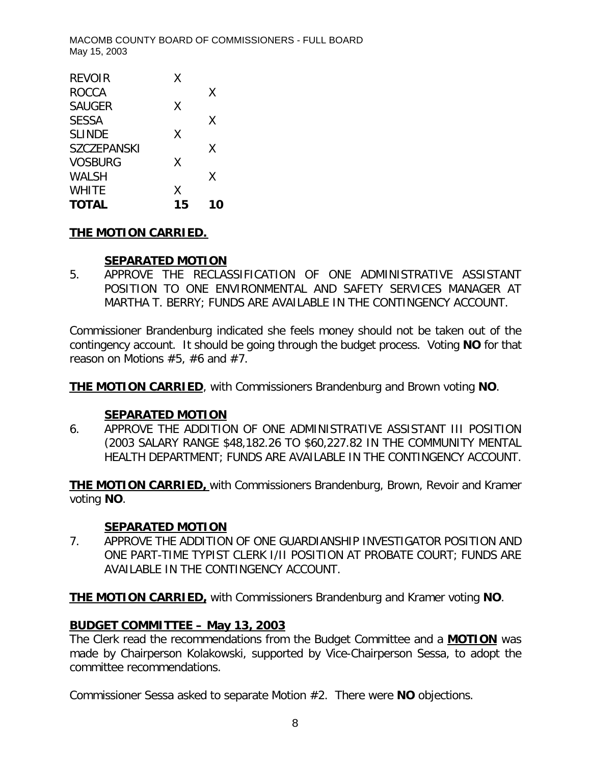| <b>TOTAL</b>       | 15 | 10 |
|--------------------|----|----|
| <b>WHITE</b>       | Χ  |    |
| WALSH              |    | Χ  |
| <b>VOSBURG</b>     | Χ  |    |
| <b>SZCZEPANSKI</b> |    | X  |
| <b>SLINDE</b>      | Χ  |    |
| <b>SESSA</b>       |    | X  |
| <b>SAUGER</b>      | Χ  |    |
| <b>ROCCA</b>       |    | χ  |
| <b>REVOIR</b>      | X  |    |
|                    |    |    |

# **THE MOTION CARRIED.**

## **SEPARATED MOTION**

5. APPROVE THE RECLASSIFICATION OF ONE ADMINISTRATIVE ASSISTANT POSITION TO ONE ENVIRONMENTAL AND SAFETY SERVICES MANAGER AT MARTHA T. BERRY; FUNDS ARE AVAILABLE IN THE CONTINGENCY ACCOUNT.

Commissioner Brandenburg indicated she feels money should not be taken out of the contingency account. It should be going through the budget process. Voting **NO** for that reason on Motions #5, #6 and #7.

**THE MOTION CARRIED**, with Commissioners Brandenburg and Brown voting **NO**.

## **SEPARATED MOTION**

6. APPROVE THE ADDITION OF ONE ADMINISTRATIVE ASSISTANT III POSITION (2003 SALARY RANGE \$48,182.26 TO \$60,227.82 IN THE COMMUNITY MENTAL HEALTH DEPARTMENT; FUNDS ARE AVAILABLE IN THE CONTINGENCY ACCOUNT.

**THE MOTION CARRIED,** with Commissioners Brandenburg, Brown, Revoir and Kramer voting **NO**.

## **SEPARATED MOTION**

7. APPROVE THE ADDITION OF ONE GUARDIANSHIP INVESTIGATOR POSITION AND ONE PART-TIME TYPIST CLERK I/II POSITION AT PROBATE COURT; FUNDS ARE AVAILABLE IN THE CONTINGENCY ACCOUNT.

**THE MOTION CARRIED,** with Commissioners Brandenburg and Kramer voting **NO**.

# *BUDGET COMMITTEE – May 13, 2003*

The Clerk read the recommendations from the Budget Committee and a **MOTION** was made by Chairperson Kolakowski, supported by Vice-Chairperson Sessa, to adopt the committee recommendations.

Commissioner Sessa asked to separate Motion #2. There were **NO** objections.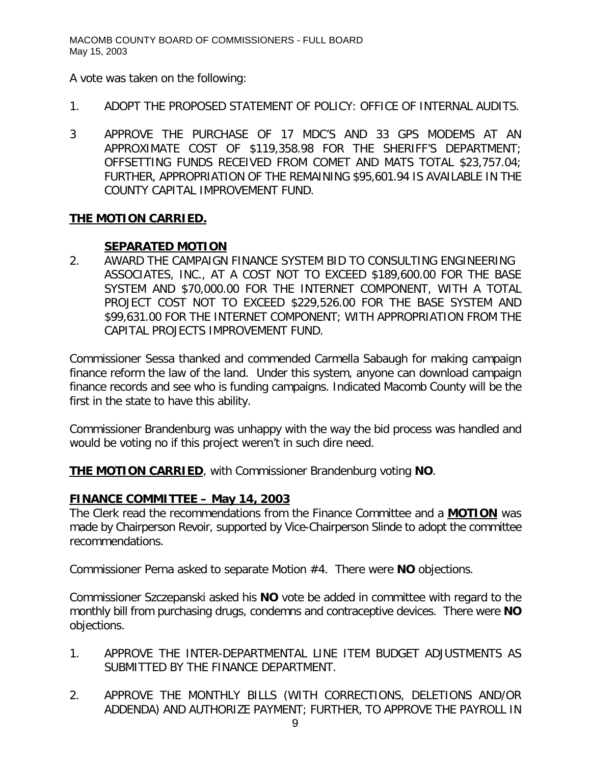A vote was taken on the following:

- 1. ADOPT THE PROPOSED STATEMENT OF POLICY: OFFICE OF INTERNAL AUDITS.
- 3 APPROVE THE PURCHASE OF 17 MDC'S AND 33 GPS MODEMS AT AN APPROXIMATE COST OF \$119,358.98 FOR THE SHERIFF'S DEPARTMENT; OFFSETTING FUNDS RECEIVED FROM COMET AND MATS TOTAL \$23,757.04; FURTHER, APPROPRIATION OF THE REMAINING \$95,601.94 IS AVAILABLE IN THE COUNTY CAPITAL IMPROVEMENT FUND.

## **THE MOTION CARRIED.**

# **SEPARATED MOTION**

2. AWARD THE CAMPAIGN FINANCE SYSTEM BID TO CONSULTING ENGINEERING ASSOCIATES, INC., AT A COST NOT TO EXCEED \$189,600.00 FOR THE BASE SYSTEM AND \$70,000.00 FOR THE INTERNET COMPONENT, WITH A TOTAL PROJECT COST NOT TO EXCEED \$229,526.00 FOR THE BASE SYSTEM AND \$99,631.00 FOR THE INTERNET COMPONENT; WITH APPROPRIATION FROM THE CAPITAL PROJECTS IMPROVEMENT FUND.

Commissioner Sessa thanked and commended Carmella Sabaugh for making campaign finance reform the law of the land. Under this system, anyone can download campaign finance records and see who is funding campaigns. Indicated Macomb County will be the first in the state to have this ability.

Commissioner Brandenburg was unhappy with the way the bid process was handled and would be voting no if this project weren't in such dire need.

**THE MOTION CARRIED**, with Commissioner Brandenburg voting **NO**.

## *FINANCE COMMITTEE – May 14, 2003*

The Clerk read the recommendations from the Finance Committee and a **MOTION** was made by Chairperson Revoir, supported by Vice-Chairperson Slinde to adopt the committee recommendations.

Commissioner Perna asked to separate Motion #4. There were **NO** objections.

Commissioner Szczepanski asked his **NO** vote be added in committee with regard to the monthly bill from purchasing drugs, condemns and contraceptive devices. There were **NO** objections.

- 1. APPROVE THE INTER-DEPARTMENTAL LINE ITEM BUDGET ADJUSTMENTS AS SUBMITTED BY THE FINANCE DEPARTMENT.
- 2. APPROVE THE MONTHLY BILLS (WITH CORRECTIONS, DELETIONS AND/OR ADDENDA) AND AUTHORIZE PAYMENT; FURTHER, TO APPROVE THE PAYROLL IN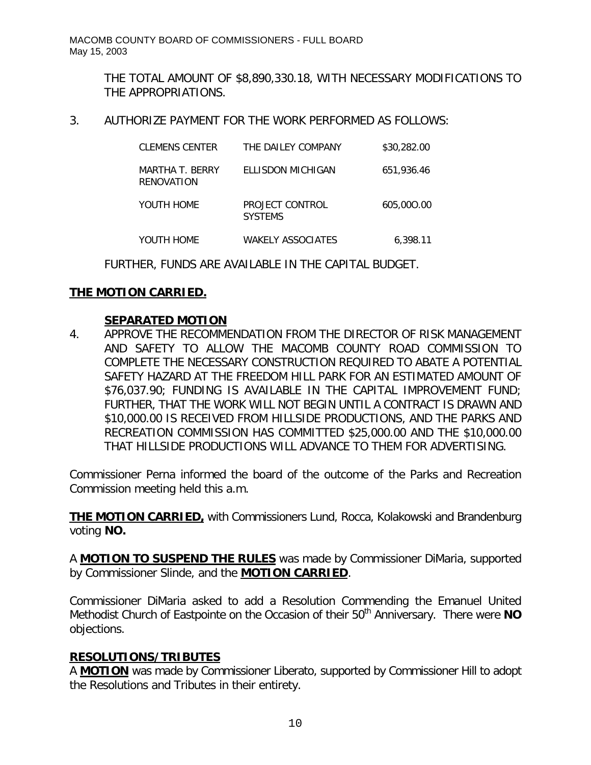THE TOTAL AMOUNT OF \$8,890,330.18, WITH NECESSARY MODIFICATIONS TO THE APPROPRIATIONS.

3. AUTHORIZE PAYMENT FOR THE WORK PERFORMED AS FOLLOWS:

| CLEMENS CENTER                | THE DAILEY COMPANY                | \$30,282.00 |
|-------------------------------|-----------------------------------|-------------|
| MARTHA T. BERRY<br>RENOVATION | FLLISDON MICHIGAN                 | 651,936.46  |
| YOUTH HOME                    | PROJECT CONTROL<br><b>SYSTEMS</b> | 605,000.00  |
| YOUTH HOME                    | WAKFI Y ASSOCIATFS                | 6.398.11    |

FURTHER, FUNDS ARE AVAILABLE IN THE CAPITAL BUDGET.

# **THE MOTION CARRIED.**

## **SEPARATED MOTION**

4. APPROVE THE RECOMMENDATION FROM THE DIRECTOR OF RISK MANAGEMENT AND SAFETY TO ALLOW THE MACOMB COUNTY ROAD COMMISSION TO COMPLETE THE NECESSARY CONSTRUCTION REQUIRED TO ABATE A POTENTIAL SAFETY HAZARD AT THE FREEDOM HILL PARK FOR AN ESTIMATED AMOUNT OF \$76,037.90; FUNDING IS AVAILABLE IN THE CAPITAL IMPROVEMENT FUND; FURTHER, THAT THE WORK WILL NOT BEGIN UNTIL A CONTRACT IS DRAWN AND \$10,000.00 IS RECEIVED FROM HILLSIDE PRODUCTIONS, AND THE PARKS AND RECREATION COMMISSION HAS COMMITTED \$25,000.00 AND THE \$10,000.00 THAT HILLSIDE PRODUCTIONS WILL ADVANCE TO THEM FOR ADVERTISING.

Commissioner Perna informed the board of the outcome of the Parks and Recreation Commission meeting held this a.m.

**THE MOTION CARRIED,** with Commissioners Lund, Rocca, Kolakowski and Brandenburg voting **NO.**

A **MOTION TO SUSPEND THE RULES** was made by Commissioner DiMaria, supported by Commissioner Slinde, and the **MOTION CARRIED**.

Commissioner DiMaria asked to add a Resolution Commending the Emanuel United Methodist Church of Eastpointe on the Occasion of their 50<sup>th</sup> Anniversary. There were NO objections.

## **RESOLUTIONS/TRIBUTES**

A **MOTION** was made by Commissioner Liberato, supported by Commissioner Hill to adopt the Resolutions and Tributes in their entirety.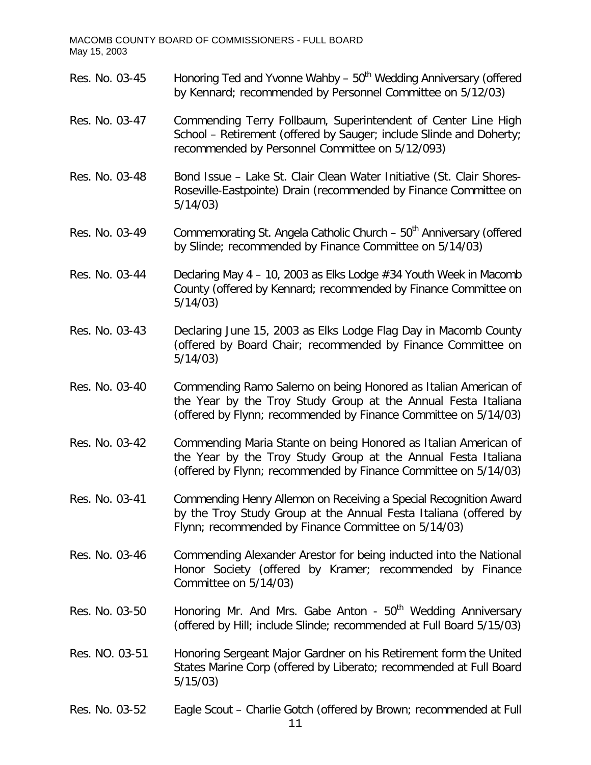Res. No. 03-45 Honoring Ted and Yvonne Wahby – 50<sup>th</sup> Wedding Anniversary (offered by Kennard; recommended by Personnel Committee on 5/12/03) Res. No. 03-47 Commending Terry Follbaum, Superintendent of Center Line High School – Retirement (offered by Sauger; include Slinde and Doherty; recommended by Personnel Committee on 5/12/093) Res. No. 03-48 Bond Issue – Lake St. Clair Clean Water Initiative (St. Clair Shores-Roseville-Eastpointe) Drain (recommended by Finance Committee on 5/14/03) Res. No. 03-49 Commemorating St. Angela Catholic Church – 50<sup>th</sup> Anniversary (offered by Slinde; recommended by Finance Committee on 5/14/03) Res. No. 03-44 Declaring May 4 – 10, 2003 as Elks Lodge #34 Youth Week in Macomb County (offered by Kennard; recommended by Finance Committee on 5/14/03) Res. No. 03-43 Declaring June 15, 2003 as Elks Lodge Flag Day in Macomb County (offered by Board Chair; recommended by Finance Committee on 5/14/03) Res. No. 03-40 Commending Ramo Salerno on being Honored as Italian American of the Year by the Troy Study Group at the Annual Festa Italiana (offered by Flynn; recommended by Finance Committee on 5/14/03) Res. No. 03-42 Commending Maria Stante on being Honored as Italian American of the Year by the Troy Study Group at the Annual Festa Italiana (offered by Flynn; recommended by Finance Committee on 5/14/03) Res. No. 03-41 Commending Henry Allemon on Receiving a Special Recognition Award by the Troy Study Group at the Annual Festa Italiana (offered by Flynn; recommended by Finance Committee on 5/14/03) Res. No. 03-46 Commending Alexander Arestor for being inducted into the National Honor Society (offered by Kramer; recommended by Finance Committee on 5/14/03) Res. No. 03-50 Honoring Mr. And Mrs. Gabe Anton -  $50<sup>th</sup>$  Wedding Anniversary (offered by Hill; include Slinde; recommended at Full Board 5/15/03) Res. NO. 03-51 Honoring Sergeant Major Gardner on his Retirement form the United States Marine Corp (offered by Liberato; recommended at Full Board 5/15/03) Res. No. 03-52 Eagle Scout – Charlie Gotch (offered by Brown; recommended at Full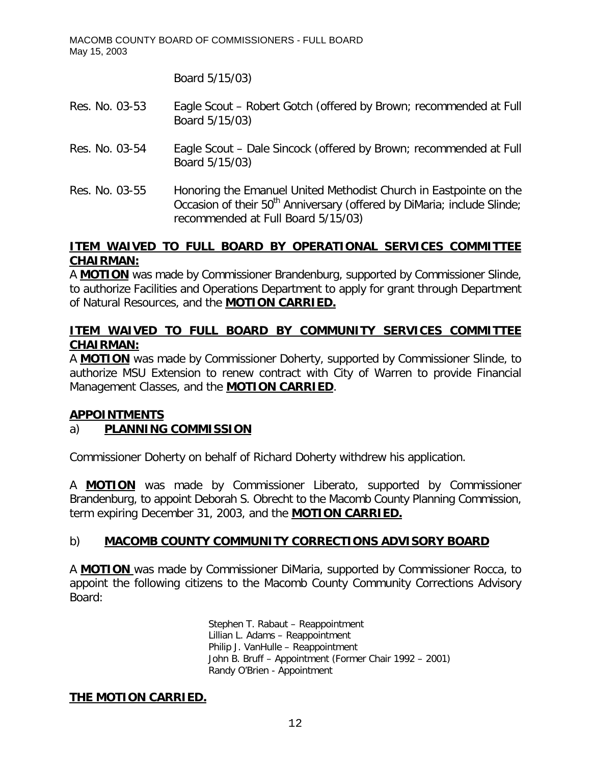Board 5/15/03)

- Res. No. 03-53 Eagle Scout Robert Gotch (offered by Brown; recommended at Full Board 5/15/03)
- Res. No. 03-54 Eagle Scout Dale Sincock (offered by Brown; recommended at Full Board 5/15/03)
- Res. No. 03-55 Honoring the Emanuel United Methodist Church in Eastpointe on the Occasion of their 50<sup>th</sup> Anniversary (offered by DiMaria; include Slinde; recommended at Full Board 5/15/03)

## **ITEM WAIVED TO FULL BOARD BY OPERATIONAL SERVICES COMMITTEE CHAIRMAN:**

A **MOTION** was made by Commissioner Brandenburg, supported by Commissioner Slinde, to authorize Facilities and Operations Department to apply for grant through Department of Natural Resources, and the **MOTION CARRIED.**

# **ITEM WAIVED TO FULL BOARD BY COMMUNITY SERVICES COMMITTEE CHAIRMAN:**

A **MOTION** was made by Commissioner Doherty, supported by Commissioner Slinde, to authorize MSU Extension to renew contract with City of Warren to provide Financial Management Classes, and the **MOTION CARRIED**.

## **APPOINTMENTS**

# a) **PLANNING COMMISSION**

Commissioner Doherty on behalf of Richard Doherty withdrew his application.

A **MOTION** was made by Commissioner Liberato, supported by Commissioner Brandenburg, to appoint Deborah S. Obrecht to the Macomb County Planning Commission, term expiring December 31, 2003, and the **MOTION CARRIED.**

# b) **MACOMB COUNTY COMMUNITY CORRECTIONS ADVISORY BOARD**

A **MOTION** was made by Commissioner DiMaria, supported by Commissioner Rocca, to appoint the following citizens to the Macomb County Community Corrections Advisory Board:

> Stephen T. Rabaut – Reappointment Lillian L. Adams – Reappointment Philip J. VanHulle – Reappointment John B. Bruff – Appointment (Former Chair 1992 – 2001) Randy O'Brien - Appointment

# **THE MOTION CARRIED.**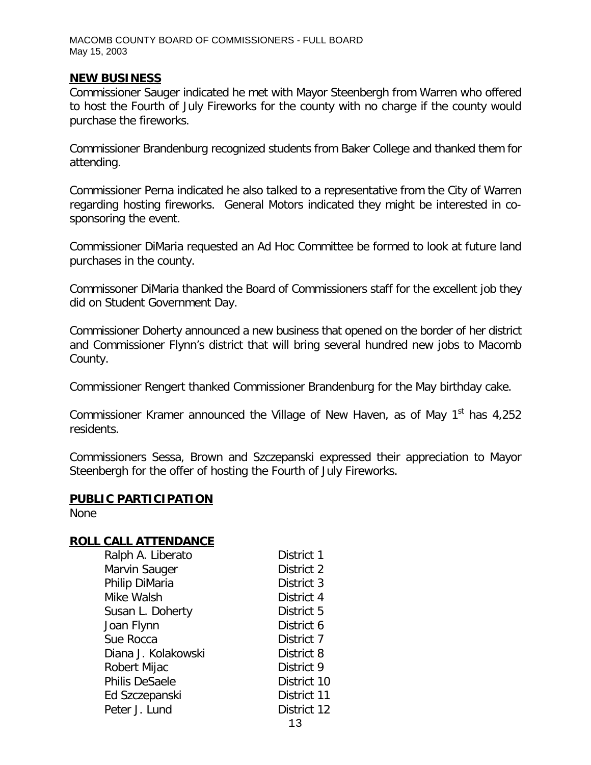#### **NEW BUSINESS**

Commissioner Sauger indicated he met with Mayor Steenbergh from Warren who offered to host the Fourth of July Fireworks for the county with no charge if the county would purchase the fireworks.

Commissioner Brandenburg recognized students from Baker College and thanked them for attending.

Commissioner Perna indicated he also talked to a representative from the City of Warren regarding hosting fireworks. General Motors indicated they might be interested in cosponsoring the event.

Commissioner DiMaria requested an Ad Hoc Committee be formed to look at future land purchases in the county.

Commissoner DiMaria thanked the Board of Commissioners staff for the excellent job they did on Student Government Day.

Commissioner Doherty announced a new business that opened on the border of her district and Commissioner Flynn's district that will bring several hundred new jobs to Macomb County.

Commissioner Rengert thanked Commissioner Brandenburg for the May birthday cake.

Commissioner Kramer announced the Village of New Haven, as of May  $1<sup>st</sup>$  has 4,252 residents.

Commissioners Sessa, Brown and Szczepanski expressed their appreciation to Mayor Steenbergh for the offer of hosting the Fourth of July Fireworks.

#### **PUBLIC PARTICIPATION**

None

### **ROLL CALL ATTENDANCE**

| Ralph A. Liberato     | District 1  |
|-----------------------|-------------|
| Marvin Sauger         | District 2  |
| Philip DiMaria        | District 3  |
| Mike Walsh            | District 4  |
| Susan L. Doherty      | District 5  |
| Joan Flynn            | District 6  |
| Sue Rocca             | District 7  |
| Diana J. Kolakowski   | District 8  |
| Robert Mijac          | District 9  |
| <b>Philis DeSaele</b> | District 10 |
| Ed Szczepanski        | District 11 |
| Peter J. Lund         | District 12 |
|                       | 1 n         |